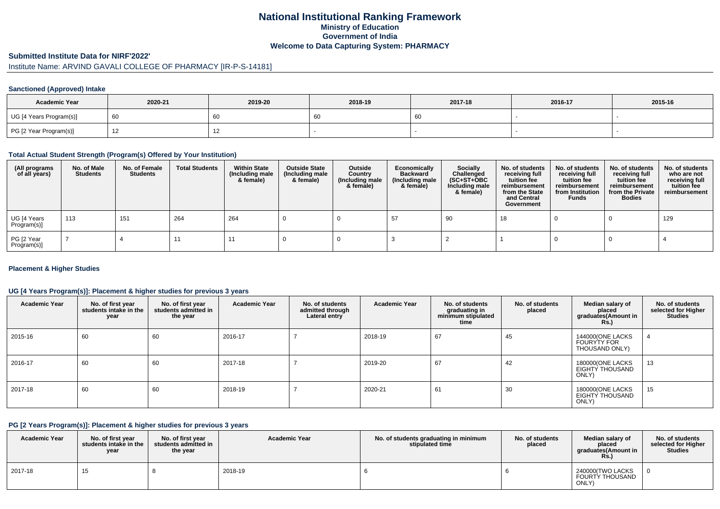# **National Institutional Ranking FrameworkMinistry of Education Government of IndiaWelcome to Data Capturing System: PHARMACY**

#### **Submitted Institute Data for NIRF'2022'**

# Institute Name: ARVIND GAVALI COLLEGE OF PHARMACY [IR-P-S-14181]

#### **Sanctioned (Approved) Intake**

| <b>Academic Year</b>    | 2020-21 | 2019-20 | 2018-19 | 2017-18 | 2016-17 | 2015-16 |
|-------------------------|---------|---------|---------|---------|---------|---------|
| UG [4 Years Program(s)] |         | 60      | 60      |         |         |         |
| PG [2 Year Program(s)]  |         | ' 4     |         |         |         |         |

#### **Total Actual Student Strength (Program(s) Offered by Your Institution)**

| (All programs<br>of all years) | No. of Male<br><b>Students</b> | No. of Female<br>Students | <b>Total Students</b> | <b>Within State</b><br>(Including male<br>& female) | <b>Outside State</b><br>(Including male<br>& female) | Outside<br>Country<br>(Including male<br>& female) | Economically<br><b>Backward</b><br>(Including male<br>& female) | <b>Socially</b><br>Challenged<br>$(SC+ST+OBC)$<br>Including male<br>& female) | No. of students<br>receiving full<br>tuition fee<br>reimbursement<br>from the State<br>and Central<br>Government | No. of students<br>receiving full<br>tuition fee<br>reimbursement<br>from Institution<br><b>Funds</b> | No. of students<br>receiving full<br>tuition fee<br>reimbursement<br>from the Private<br><b>Bodies</b> | No. of students<br>who are not<br>receiving full<br>tuition fee<br>reimbursement |
|--------------------------------|--------------------------------|---------------------------|-----------------------|-----------------------------------------------------|------------------------------------------------------|----------------------------------------------------|-----------------------------------------------------------------|-------------------------------------------------------------------------------|------------------------------------------------------------------------------------------------------------------|-------------------------------------------------------------------------------------------------------|--------------------------------------------------------------------------------------------------------|----------------------------------------------------------------------------------|
| UG [4 Years<br>Program(s)]     | 113                            | 151                       | 264                   | 264                                                 |                                                      |                                                    |                                                                 | -90                                                                           | 18                                                                                                               |                                                                                                       |                                                                                                        | 129                                                                              |
| PG [2 Year<br>Program(s)]      |                                |                           |                       | -11                                                 |                                                      |                                                    |                                                                 |                                                                               |                                                                                                                  |                                                                                                       |                                                                                                        |                                                                                  |

#### **Placement & Higher Studies**

#### **UG [4 Years Program(s)]: Placement & higher studies for previous 3 years**

| <b>Academic Year</b> | No. of first year<br>students intake in the<br>year | No. of first year<br>students admitted in<br>the year | <b>Academic Year</b> | No. of students<br>admitted through<br>Lateral entry | <b>Academic Year</b> | No. of students<br>graduating in<br>minimum stipulated<br>time | No. of students<br>placed | Median salary of<br>placed<br>graduates(Amount in<br><b>Rs.)</b> | No. of students<br>selected for Higher<br><b>Studies</b> |
|----------------------|-----------------------------------------------------|-------------------------------------------------------|----------------------|------------------------------------------------------|----------------------|----------------------------------------------------------------|---------------------------|------------------------------------------------------------------|----------------------------------------------------------|
| 2015-16              | 60                                                  | 60                                                    | 2016-17              |                                                      | 2018-19              | 67                                                             | 45                        | 144000(ONE LACKS<br><b>FOURYTY FOR</b><br>THOUSAND ONLY)         |                                                          |
| 2016-17              | 60                                                  | 60                                                    | 2017-18              |                                                      | 2019-20              | 67                                                             | 42                        | 180000(ONE LACKS<br>EIGHTY THOUSAND<br>ONLY)                     | 13                                                       |
| 2017-18              | 60                                                  | 60                                                    | 2018-19              |                                                      | 2020-21              | 61                                                             | 30                        | 180000(ONE LACKS<br>EIGHTY THOUSAND<br>ONLY)                     | 15                                                       |

#### **PG [2 Years Program(s)]: Placement & higher studies for previous 3 years**

| <b>Academic Year</b> | No. of first year<br>students intake in the<br>year | No. of first vear<br>students admitted in<br>the year | <b>Academic Year</b> | No. of students graduating in minimum<br>stipulated time | No. of students<br>placed | Median salary of<br>placed<br>araduates(Amount in<br>Rs. | No. of students<br>selected for Higher<br>Studies |
|----------------------|-----------------------------------------------------|-------------------------------------------------------|----------------------|----------------------------------------------------------|---------------------------|----------------------------------------------------------|---------------------------------------------------|
| 2017-18              | 15                                                  |                                                       | 2018-19              |                                                          |                           | 240000(TWO LACKS<br>FOURTY THOUSAND<br>ONLY)             |                                                   |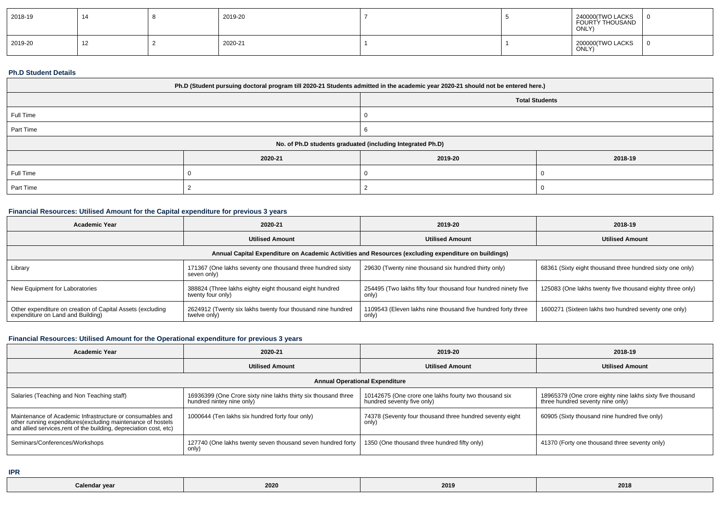| 2018-19 | 14 | 2019-20 |  | 240000(TWO LACKS<br>FOURTY THOUSAND<br>ONLY) |  |
|---------|----|---------|--|----------------------------------------------|--|
| 2019-20 | 12 | 2020-21 |  | 200000(TWO LACKS<br>ONLY)                    |  |

## **Ph.D Student Details**

| Ph.D (Student pursuing doctoral program till 2020-21 Students admitted in the academic year 2020-21 should not be entered here.) |                                                            |         |         |  |  |  |
|----------------------------------------------------------------------------------------------------------------------------------|------------------------------------------------------------|---------|---------|--|--|--|
| <b>Total Students</b>                                                                                                            |                                                            |         |         |  |  |  |
| Full Time                                                                                                                        |                                                            |         |         |  |  |  |
| Part Time                                                                                                                        |                                                            |         |         |  |  |  |
|                                                                                                                                  | No. of Ph.D students graduated (including Integrated Ph.D) |         |         |  |  |  |
|                                                                                                                                  | 2020-21                                                    | 2019-20 | 2018-19 |  |  |  |
| Full Time                                                                                                                        |                                                            |         |         |  |  |  |
| Part Time                                                                                                                        |                                                            |         |         |  |  |  |

## **Financial Resources: Utilised Amount for the Capital expenditure for previous 3 years**

| <b>Academic Year</b>                                                                                 | 2020-21                                                                      | 2019-20                                                                 | 2018-19                                                   |  |  |  |  |
|------------------------------------------------------------------------------------------------------|------------------------------------------------------------------------------|-------------------------------------------------------------------------|-----------------------------------------------------------|--|--|--|--|
|                                                                                                      | <b>Utilised Amount</b>                                                       | <b>Utilised Amount</b>                                                  | <b>Utilised Amount</b>                                    |  |  |  |  |
| Annual Capital Expenditure on Academic Activities and Resources (excluding expenditure on buildings) |                                                                              |                                                                         |                                                           |  |  |  |  |
| Library                                                                                              | 171367 (One lakhs seventy one thousand three hundred sixty<br>seven only)    | 29630 (Twenty nine thousand six hundred thirty only)                    | 68361 (Sixty eight thousand three hundred sixty one only) |  |  |  |  |
| New Equipment for Laboratories                                                                       | 388824 (Three lakhs eighty eight thousand eight hundred<br>twenty four only) | 254495 (Two lakhs fifty four thousand four hundred ninety five<br>only) | 125083 (One lakhs twenty five thousand eighty three only) |  |  |  |  |
| Other expenditure on creation of Capital Assets (excluding<br>expenditure on Land and Building)      | 2624912 (Twenty six lakhs twenty four thousand nine hundred<br>twelve only)  | 1109543 (Eleven lakhs nine thousand five hundred forty three<br>only)   | 1600271 (Sixteen lakhs two hundred seventy one only)      |  |  |  |  |

## **Financial Resources: Utilised Amount for the Operational expenditure for previous 3 years**

| Academic Year                                                                                                                                                                                   | 2020-21                                                                                     | 2019-20                                                                             | 2018-19                                                                                       |  |  |  |  |  |
|-------------------------------------------------------------------------------------------------------------------------------------------------------------------------------------------------|---------------------------------------------------------------------------------------------|-------------------------------------------------------------------------------------|-----------------------------------------------------------------------------------------------|--|--|--|--|--|
|                                                                                                                                                                                                 | <b>Utilised Amount</b>                                                                      | <b>Utilised Amount</b>                                                              | <b>Utilised Amount</b>                                                                        |  |  |  |  |  |
| <b>Annual Operational Expenditure</b>                                                                                                                                                           |                                                                                             |                                                                                     |                                                                                               |  |  |  |  |  |
| Salaries (Teaching and Non Teaching staff)                                                                                                                                                      | 16936399 (One Crore sixty nine lakhs thirty six thousand three<br>hundred nintey nine only) | 10142675 (One crore one lakhs fourty two thousand six<br>hundred seventy five only) | 18965379 (One crore eighty nine lakhs sixty five thousand<br>three hundred seventy nine only) |  |  |  |  |  |
| Maintenance of Academic Infrastructure or consumables and<br>other running expenditures (excluding maintenance of hostels<br>and allied services, rent of the building, depreciation cost, etc) | 1000644 (Ten lakhs six hundred forty four only)                                             | 74378 (Seventy four thousand three hundred seventy eight<br>only)                   | 60905 (Sixty thousand nine hundred five only)                                                 |  |  |  |  |  |
| Seminars/Conferences/Workshops                                                                                                                                                                  | 127740 (One lakhs twenty seven thousand seven hundred forty<br>only)                        | 1350 (One thousand three hundred fifty only)                                        | 41370 (Forty one thousand three seventy only)                                                 |  |  |  |  |  |

**IPR**

| Calendar vea | 2020 | 2019 | 2018 |
|--------------|------|------|------|
|--------------|------|------|------|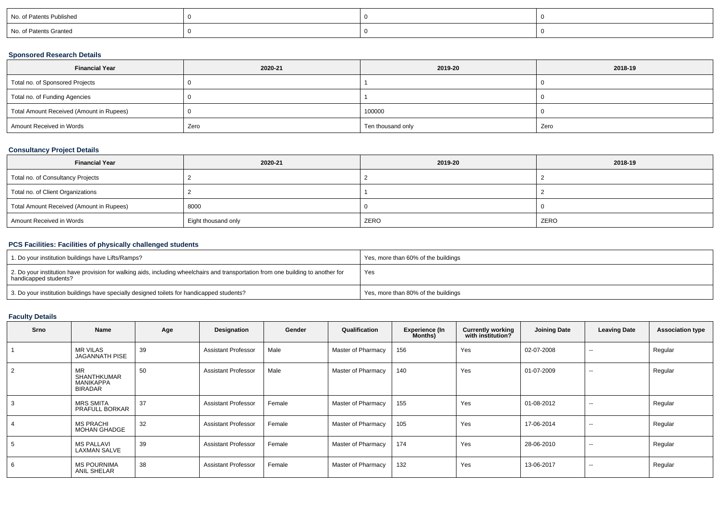| No. of Patents Published |  |  |
|--------------------------|--|--|
| No. of Patents Granted   |  |  |

### **Sponsored Research Details**

| <b>Financial Year</b>                    | 2020-21 | 2019-20           | 2018-19 |
|------------------------------------------|---------|-------------------|---------|
| Total no. of Sponsored Projects          |         |                   |         |
| Total no. of Funding Agencies            |         |                   |         |
| Total Amount Received (Amount in Rupees) |         | 100000            |         |
| Amount Received in Words                 | Zero    | Ten thousand only | Zero    |

## **Consultancy Project Details**

| <b>Financial Year</b>                    | 2020-21             | 2019-20 | 2018-19 |
|------------------------------------------|---------------------|---------|---------|
| Total no. of Consultancy Projects        |                     |         |         |
| Total no. of Client Organizations        |                     |         |         |
| Total Amount Received (Amount in Rupees) | 8000                |         |         |
| Amount Received in Words                 | Eight thousand only | ZERO    | ZERO    |

## **PCS Facilities: Facilities of physically challenged students**

| 1. Do your institution buildings have Lifts/Ramps?                                                                                                         | Yes, more than 60% of the buildings |
|------------------------------------------------------------------------------------------------------------------------------------------------------------|-------------------------------------|
| 2. Do your institution have provision for walking aids, including wheelchairs and transportation from one building to another for<br>handicapped students? | Yes                                 |
| 3. Do your institution buildings have specially designed toilets for handicapped students?                                                                 | Yes, more than 80% of the buildings |

# **Faculty Details**

| Srno | Name                                                           | Age | Designation                | Gender | Qualification      | Experience (In<br>Months) | <b>Currently working</b><br>with institution? | <b>Joining Date</b> | <b>Leaving Date</b>      | <b>Association type</b> |
|------|----------------------------------------------------------------|-----|----------------------------|--------|--------------------|---------------------------|-----------------------------------------------|---------------------|--------------------------|-------------------------|
|      | <b>MR VILAS</b><br>JAGANNATH PISE                              | 39  | <b>Assistant Professor</b> | Male   | Master of Pharmacy | 156                       | Yes                                           | 02-07-2008          | $\sim$                   | Regular                 |
| 2    | <b>MR</b><br>SHANTHKUMAR<br><b>MANIKAPPA</b><br><b>BIRADAR</b> | 50  | <b>Assistant Professor</b> | Male   | Master of Pharmacy | 140                       | Yes                                           | 01-07-2009          | $\sim$                   | Regular                 |
|      | <b>MRS SMITA</b><br>PRAFULL BORKAR                             | 37  | <b>Assistant Professor</b> | Female | Master of Pharmacy | 155                       | Yes                                           | 01-08-2012          | $\overline{\phantom{a}}$ | Regular                 |
|      | <b>MS PRACHI</b><br><b>MOHAN GHADGE</b>                        | 32  | <b>Assistant Professor</b> | Female | Master of Pharmacy | 105                       | Yes                                           | 17-06-2014          | $\sim$                   | Regular                 |
| 5    | <b>MS PALLAVI</b><br><b>LAXMAN SALVE</b>                       | 39  | <b>Assistant Professor</b> | Female | Master of Pharmacy | 174                       | Yes                                           | 28-06-2010          | $\sim$                   | Regular                 |
| 6    | <b>MS POURNIMA</b><br>ANIL SHELAR                              | 38  | <b>Assistant Professor</b> | Female | Master of Pharmacy | 132                       | Yes                                           | 13-06-2017          | $\sim$                   | Regular                 |